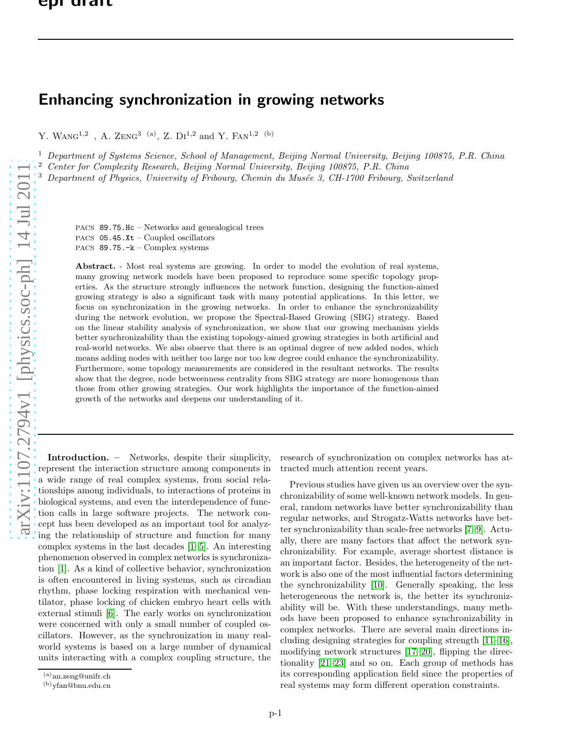## Enhancing synchronization in growing networks

Y. WANG<sup>1,2</sup>, A. ZENG<sup>3 (a)</sup>, Z. DI<sup>1,2</sup> and Y. FAN<sup>1,2 (b)</sup>

<sup>1</sup> Department of Systems Science, School of Management, Beijing Normal University, Beijing 100875, P.R. China

<sup>2</sup> Center for Complexity Research, Beijing Normal University, Beijing 100875, P.R. China

Department of Physics, University of Fribourg, Chemin du Musée 3, CH-1700 Fribourg, Switzerland

PACS 89.75.Hc – Networks and genealogical trees PACS  $05.45$ . Xt – Coupled oscillators PACS 89.75.-k – Complex systems

Abstract. - Most real systems are growing. In order to model the evolution of real systems, many growing network models have been proposed to reproduce some specific topology properties. As the structure strongly influences the network function, designing the function-aimed growing strategy is also a significant task with many potential applications. In this letter, we focus on synchronization in the growing networks. In order to enhance the synchronizability during the network evolution, we propose the Spectral-Based Growing (SBG) strategy. Based on the linear stability analysis of synchronization, we show that our growing mechanism yields better synchronizability than the existing topology-aimed growing strategies in both artificial and real-world networks. We also observe that there is an optimal degree of new added nodes, which means adding nodes with neither too large nor too low degree could enhance the synchronizability. Furthermore, some topology measurements are considered in the resultant networks. The results show that the degree, node betweenness centrality from SBG strategy are more homogenous than those from other growing strategies. Our work highlights the importance of the function-aimed growth of the networks and deepens our understanding of it.

Introduction. – Networks, despite their simplicity, represent the interaction structure among components in a wide range of real complex systems, from social relationships among individuals, to interactions of proteins in biological systems, and even the interdependence of function calls in large software projects. The network concept has been developed as an important tool for analyzing the relationship of structure and function for many complex systems in the last decades [\[1](#page-5-0)[–5\]](#page-5-1). An interesting phenomenon observed in complex networks is synchronization [\[1\]](#page-5-0). As a kind of collective behavior, synchronization is often encountered in living systems, such as circadian rhythm, phase locking respiration with mechanical ventilator, phase locking of chicken embryo heart cells with external stimuli [\[6\]](#page-5-2). The early works on synchronization were concerned with only a small number of coupled oscillators. However, as the synchronization in many realworld systems is based on a large number of dynamical units interacting with a complex coupling structure, the research of synchronization on complex networks has attracted much attention recent years.

Previous studies have given us an overview over the synchronizability of some well-known network models. In general, random networks have better synchronizability than regular networks, and Strogatz-Watts networks have better synchronizability than scale-free networks [\[7–](#page-5-3)[9\]](#page-5-4). Actually, there are many factors that affect the network synchronizability. For example, average shortest distance is an important factor. Besides, the heterogeneity of the network is also one of the most influential factors determining the synchronizability [\[10\]](#page-5-5). Generally speaking, the less heterogeneous the network is, the better its synchronizability will be. With these understandings, many methods have been proposed to enhance synchronizability in complex networks. There are several main directions including designing strategies for coupling strength [\[11–](#page-5-6)[16\]](#page-5-7), modifying network structures [\[17](#page-5-8)[–20\]](#page-5-9), flipping the directionality [\[21](#page-5-10)[–23\]](#page-5-11) and so on. Each group of methods has its corresponding application field since the properties of real systems may form different operation constraints.

 $(a)$ an.zeng@unifr.ch

 $(b)$ yfan@bnu.edu.cn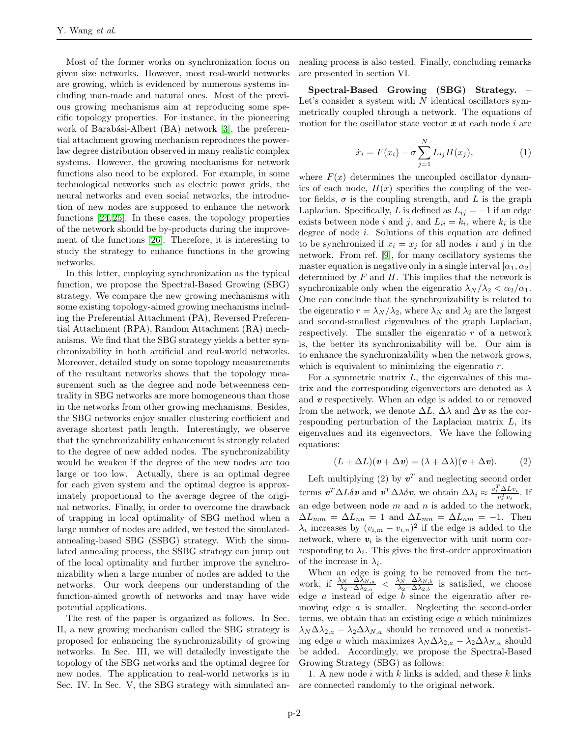Most of the former works on synchronization focus on given size networks. However, most real-world networks are growing, which is evidenced by numerous systems including man-made and natural ones. Most of the previous growing mechanisms aim at reproducing some specific topology properties. For instance, in the pioneering work of Barabási-Albert (BA) network [\[3\]](#page-5-12), the preferential attachment growing mechanism reproduces the powerlaw degree distribution observed in many realistic complex systems. However, the growing mechanisms for network functions also need to be explored. For example, in some technological networks such as electric power grids, the neural networks and even social networks, the introduction of new nodes are supposed to enhance the network functions [\[24,](#page-5-13) [25\]](#page-5-14). In these cases, the topology properties of the network should be by-products during the improvement of the functions [\[26\]](#page-5-15). Therefore, it is interesting to study the strategy to enhance functions in the growing networks.

In this letter, employing synchronization as the typical function, we propose the Spectral-Based Growing (SBG) strategy. We compare the new growing mechanisms with some existing topology-aimed growing mechanisms including the Preferential Attachment (PA), Reversed Preferential Attachment (RPA), Random Attachment (RA) mechanisms. We find that the SBG strategy yields a better synchronizability in both artificial and real-world networks. Moreover, detailed study on some topology measurements of the resultant networks shows that the topology measurement such as the degree and node betweenness centrality in SBG networks are more homogeneous than those in the networks from other growing mechanisms. Besides, the SBG networks enjoy smaller clustering coefficient and average shortest path length. Interestingly, we observe that the synchronizability enhancement is strongly related to the degree of new added nodes. The synchronizability would be weaken if the degree of the new nodes are too large or too low. Actually, there is an optimal degree for each given system and the optimal degree is approximately proportional to the average degree of the original networks. Finally, in order to overcome the drawback of trapping in local optimality of SBG method when a large number of nodes are added, we tested the simulatedannealing-based SBG (SSBG) strategy. With the simulated annealing process, the SSBG strategy can jump out of the local optimality and further improve the synchronizability when a large number of nodes are added to the networks. Our work deepens our understanding of the function-aimed growth of networks and may have wide potential applications.

The rest of the paper is organized as follows. In Sec. II, a new growing mechanism called the SBG strategy is proposed for enhancing the synchronizability of growing networks. In Sec. III, we will detailedly investigate the topology of the SBG networks and the optimal degree for new nodes. The application to real-world networks is in Sec. IV. In Sec. V, the SBG strategy with simulated annealing process is also tested. Finally, concluding remarks are presented in section VI.

Spectral-Based Growing (SBG) Strategy. Let's consider a system with  $N$  identical oscillators symmetrically coupled through a network. The equations of motion for the oscillator state vector  $x$  at each node i are

$$
\dot{x}_i = F(x_i) - \sigma \sum_{j=1}^{N} L_{ij} H(x_j),
$$
\n(1)

where  $F(x)$  determines the uncoupled oscillator dynamics of each node,  $H(x)$  specifies the coupling of the vector fields,  $\sigma$  is the coupling strength, and L is the graph Laplacian. Specifically, L is defined as  $L_{ij} = -1$  if an edge exists between node *i* and *j*, and  $L_{ii} = k_i$ , where  $k_i$  is the degree of node i. Solutions of this equation are defined to be synchronized if  $x_i = x_j$  for all nodes i and j in the network. From ref. [\[9\]](#page-5-4), for many oscillatory systems the master equation is negative only in a single interval  $[\alpha_1, \alpha_2]$ determined by  $F$  and  $H$ . This implies that the network is synchronizable only when the eigenratio  $\lambda_N/\lambda_2 < \alpha_2/\alpha_1$ . One can conclude that the synchronizability is related to the eigenratio  $r = \lambda_N/\lambda_2$ , where  $\lambda_N$  and  $\lambda_2$  are the largest and second-smallest eigenvalues of the graph Laplacian, respectively. The smaller the eigenratio  $r$  of a network is, the better its synchronizability will be. Our aim is to enhance the synchronizability when the network grows, which is equivalent to minimizing the eigenratio r.

For a symmetric matrix  $L$ , the eigenvalues of this matrix and the corresponding eigenvectors are denoted as  $\lambda$ and  $v$  respectively. When an edge is added to or removed from the network, we denote  $\Delta L$ ,  $\Delta \lambda$  and  $\Delta v$  as the corresponding perturbation of the Laplacian matrix L, its eigenvalues and its eigenvectors. We have the following equations:

$$
(L + \Delta L)(v + \Delta v) = (\lambda + \Delta \lambda)(v + \Delta v).
$$
 (2)

Left multiplying (2) by  $v^T$  and neglecting second order terms  $v^T \Delta L \delta v$  and  $v^T \Delta \lambda \delta v$ , we obtain  $\Delta \lambda_i \approx \frac{v_i^T \Delta L v_i}{v_i^T v_i}$ . If an edge between node  $m$  and  $n$  is added to the network,  $\Delta L_{mm} = \Delta L_{nn} = 1$  and  $\Delta L_{mn} = \Delta L_{nm} = -1$ . Then  $\lambda_i$  increases by  $(v_{i,m} - v_{i,n})^2$  if the edge is added to the network, where  $v_i$  is the eigenvector with unit norm corresponding to  $\lambda_i$ . This gives the first-order approximation of the increase in  $\lambda_i$ .

When an edge is going to be removed from the network, if  $\frac{\lambda_N - \Delta\lambda_{N,a}}{\lambda_2 - \Delta\lambda_{2,a}} < \frac{\lambda_N - \Delta\lambda_{N,b}}{\lambda_2 - \Delta\lambda_{2,b}}$  $\frac{\Delta N-\Delta\Delta N,b}{\lambda_2-\Delta\lambda_2,b}$  is satisfied, we choose edge a instead of edge b since the eigenratio after removing edge a is smaller. Neglecting the second-order terms, we obtain that an existing edge  $a$  which minimizes  $\lambda_N \Delta \lambda_{2,a} - \lambda_2 \Delta \lambda_{N,a}$  should be removed and a nonexisting edge a which maximizes  $\lambda_N \Delta \lambda_{2,a} - \lambda_2 \Delta \lambda_{N,a}$  should be added. Accordingly, we propose the Spectral-Based Growing Strategy (SBG) as follows:

1. A new node  $i$  with  $k$  links is added, and these  $k$  links are connected randomly to the original network.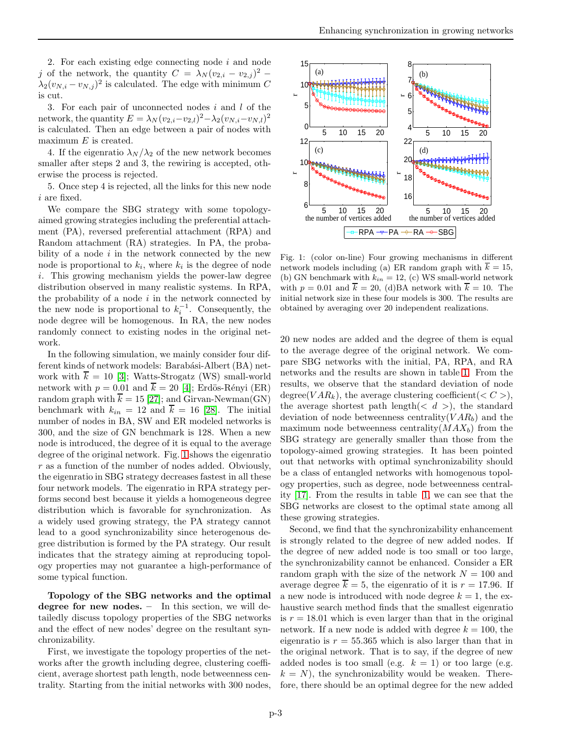2. For each existing edge connecting node  $i$  and node j of the network, the quantity  $C = \lambda_N (v_{2,i} - v_{2,j})^2$  –  $\lambda_2(v_{N,i}-v_{N,j})^2$  is calculated. The edge with minimum C is cut.

3. For each pair of unconnected nodes  $i$  and  $l$  of the network, the quantity  $E = \lambda_N (v_{2,i} - v_{2,l})^2 - \lambda_2 (v_{N,i} - v_{N,l})^2$ is calculated. Then an edge between a pair of nodes with maximum  $E$  is created.

4. If the eigenratio  $\lambda_N/\lambda_2$  of the new network becomes smaller after steps 2 and 3, the rewiring is accepted, otherwise the process is rejected.

5. Once step 4 is rejected, all the links for this new node i are fixed.

We compare the SBG strategy with some topologyaimed growing strategies including the preferential attachment (PA), reversed preferential attachment (RPA) and Random attachment (RA) strategies. In PA, the probability of a node  $i$  in the network connected by the new node is proportional to  $k_i$ , where  $k_i$  is the degree of node i. This growing mechanism yields the power-law degree distribution observed in many realistic systems. In RPA, the probability of a node  $i$  in the network connected by the new node is proportional to  $k_i^{-1}$ . Consequently, the node degree will be homogenous. In RA, the new nodes randomly connect to existing nodes in the original network.

In the following simulation, we mainly consider four different kinds of network models: Barabási-Albert (BA) network with  $\overline{k} = 10$  [\[3\]](#page-5-12); Watts-Strogatz (WS) small-world network with  $p = 0.01$  and  $\overline{k} = 20$  [\[4\]](#page-5-16); Erdös-Rényi (ER) random graph with  $\overline{k} = 15$  [\[27\]](#page-5-17); and Girvan-Newman(GN) benchmark with  $k_{in} = 12$  and  $\overline{k} = 16$  [\[28\]](#page-5-18). The initial number of nodes in BA, SW and ER modeled networks is 300, and the size of GN benchmark is 128. When a new node is introduced, the degree of it is equal to the average degree of the original network. Fig. [1](#page-2-0) shows the eigenratio r as a function of the number of nodes added. Obviously, the eigenratio in SBG strategy decreases fastest in all these four network models. The eigenratio in RPA strategy performs second best because it yields a homogeneous degree distribution which is favorable for synchronization. As a widely used growing strategy, the PA strategy cannot lead to a good synchronizability since heterogenous degree distribution is formed by the PA strategy. Our result indicates that the strategy aiming at reproducing topology properties may not guarantee a high-performance of some typical function.

Topology of the SBG networks and the optimal degree for new nodes. – In this section, we will detailedly discuss topology properties of the SBG networks and the effect of new nodes' degree on the resultant synchronizability.

First, we investigate the topology properties of the networks after the growth including degree, clustering coefficient, average shortest path length, node betweenness centrality. Starting from the initial networks with 300 nodes,



<span id="page-2-0"></span>Fig. 1: (color on-line) Four growing mechanisms in different network models including (a) ER random graph with  $\overline{k} = 15$ , (b) GN benchmark with  $k_{in} = 12$ , (c) WS small-world network with  $p = 0.01$  and  $\overline{k} = 20$ , (d)BA network with  $\overline{k} = 10$ . The initial network size in these four models is 300. The results are obtained by averaging over 20 independent realizations.

20 new nodes are added and the degree of them is equal to the average degree of the original network. We compare SBG networks with the initial, PA, RPA, and RA networks and the results are shown in table [1.](#page-3-0) From the results, we observe that the standard deviation of node degree(VAR<sub>k</sub>), the average clustering coefficient( $\langle C \rangle$ ), the average shortest path length( $\langle d \rangle$ ), the standard deviation of node betweenness centrality  $(VAR_b)$  and the maximum node betweenness centrality( $MAX_b$ ) from the SBG strategy are generally smaller than those from the topology-aimed growing strategies. It has been pointed out that networks with optimal synchronizability should be a class of entangled networks with homogenous topology properties, such as degree, node betweenness centrality [\[17\]](#page-5-8). From the results in table [1,](#page-3-0) we can see that the SBG networks are closest to the optimal state among all these growing strategies.

Second, we find that the synchronizability enhancement is strongly related to the degree of new added nodes. If the degree of new added node is too small or too large, the synchronizability cannot be enhanced. Consider a ER random graph with the size of the network  $N = 100$  and average degree  $\overline{k} = 5$ , the eigenratio of it is  $r = 17.96$ . If a new node is introduced with node degree  $k = 1$ , the exhaustive search method finds that the smallest eigenratio is  $r = 18.01$  which is even larger than that in the original network. If a new node is added with degree  $k = 100$ , the eigenratio is  $r = 55.365$  which is also larger than that in the original network. That is to say, if the degree of new added nodes is too small (e.g.  $k = 1$ ) or too large (e.g.  $k = N$ , the synchronizability would be weaken. Therefore, there should be an optimal degree for the new added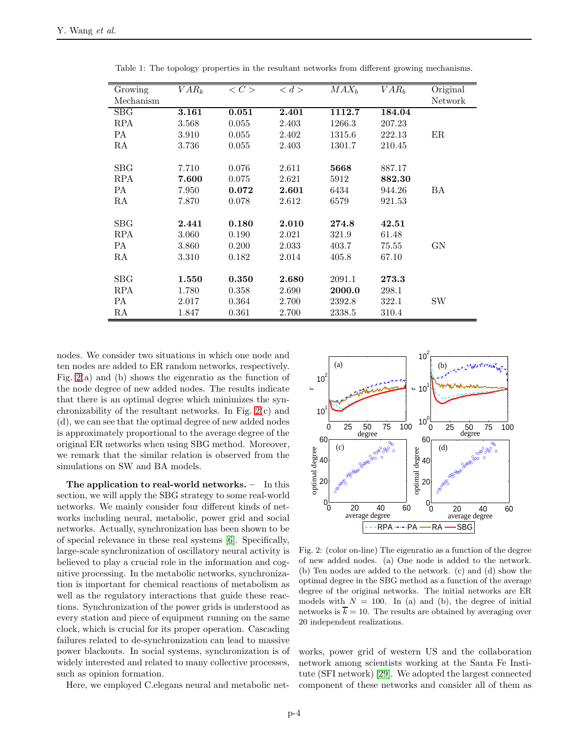| Growing    | $VAR_k$ | $\langle C \rangle$ | d >   | MAX <sub>b</sub> | VAR <sub>b</sub> | Original |
|------------|---------|---------------------|-------|------------------|------------------|----------|
| Mechanism  |         |                     |       |                  |                  | Network  |
| <b>SBG</b> | 3.161   | 0.051               | 2.401 | 1112.7           | 184.04           |          |
| <b>RPA</b> | 3.568   | 0.055               | 2.403 | 1266.3           | 207.23           |          |
| <b>PA</b>  | 3.910   | 0.055               | 2.402 | 1315.6           | 222.13           | ER       |
| RA         | 3.736   | 0.055               | 2.403 | 1301.7           | 210.45           |          |
|            |         |                     |       |                  |                  |          |
| SBG        | 7.710   | 0.076               | 2.611 | 5668             | 887.17           |          |
| <b>RPA</b> | 7.600   | 0.075               | 2.621 | 5912             | 882.30           |          |
| PA         | 7.950   | 0.072               | 2.601 | 6434             | 944.26           | ВA       |
| RA         | 7.870   | 0.078               | 2.612 | 6579             | 921.53           |          |
|            |         |                     |       |                  |                  |          |
| SBG        | 2.441   | 0.180               | 2.010 | 274.8            | 42.51            |          |
| <b>RPA</b> | 3.060   | 0.190               | 2.021 | 321.9            | 61.48            |          |
| <b>PA</b>  | 3.860   | 0.200               | 2.033 | 403.7            | 75.55            | GN       |
| RA         | 3.310   | 0.182               | 2.014 | 405.8            | 67.10            |          |
|            |         |                     |       |                  |                  |          |
| SBG        | 1.550   | 0.350               | 2.680 | 2091.1           | 273.3            |          |
| <b>RPA</b> | 1.780   | 0.358               | 2.690 | 2000.0           | 298.1            |          |
| PA         | 2.017   | 0.364               | 2.700 | 2392.8           | 322.1            | SW       |
| RA         | 1.847   | 0.361               | 2.700 | 2338.5           | 310.4            |          |

<span id="page-3-0"></span>Table 1: The topology properties in the resultant networks from different growing mechanisms.

nodes. We consider two situations in which one node and ten nodes are added to ER random networks, respectively. Fig. [2\(](#page-3-1)a) and (b) shows the eigenratio as the function of the node degree of new added nodes. The results indicate that there is an optimal degree which minimizes the synchronizability of the resultant networks. In Fig. [2\(](#page-3-1)c) and (d), we can see that the optimal degree of new added nodes is approximately proportional to the average degree of the original ER networks when using SBG method. Moreover, we remark that the similar relation is observed from the simulations on SW and BA models.

The application to real-world networks. – In this section, we will apply the SBG strategy to some real-world networks. We mainly consider four different kinds of networks including neural, metabolic, power grid and social networks. Actually, synchronization has been shown to be of special relevance in these real systems [\[6\]](#page-5-2). Specifically, large-scale synchronization of oscillatory neural activity is believed to play a crucial role in the information and cognitive processing. In the metabolic networks, synchronization is important for chemical reactions of metabolism as well as the regulatory interactions that guide these reactions. Synchronization of the power grids is understood as every station and piece of equipment running on the same clock, which is crucial for its proper operation. Cascading failures related to de-synchronization can lead to massive power blackouts. In social systems, synchronization is of widely interested and related to many collective processes, such as opinion formation.

Here, we employed C.elegans neural and metabolic net-



<span id="page-3-1"></span>Fig. 2: (color on-line) The eigenratio as a function of the degree of new added nodes. (a) One node is added to the network. (b) Ten nodes are added to the network. (c) and (d) show the optimal degree in the SBG method as a function of the average degree of the original networks. The initial networks are ER models with  $N = 100$ . In (a) and (b), the degree of initial networks is  $\overline{k} = 10$ . The results are obtained by averaging over 20 independent realizations.

works, power grid of western US and the collaboration network among scientists working at the Santa Fe Institute (SFI network) [\[29\]](#page-5-19). We adopted the largest connected component of these networks and consider all of them as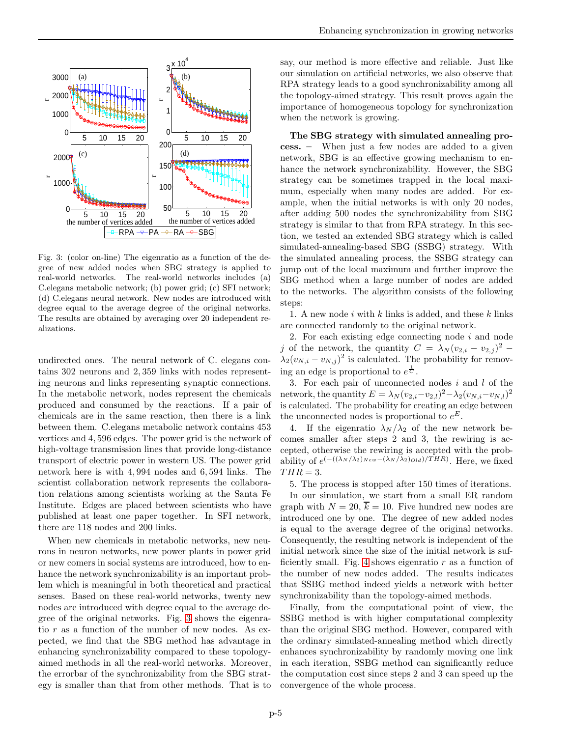

<span id="page-4-0"></span>Fig. 3: (color on-line) The eigenratio as a function of the degree of new added nodes when SBG strategy is applied to real-world networks. The real-world networks includes (a) C.elegans metabolic network; (b) power grid; (c) SFI network; (d) C.elegans neural network. New nodes are introduced with degree equal to the average degree of the original networks. The results are obtained by averaging over 20 independent realizations.

undirected ones. The neural network of C. elegans contains 302 neurons and 2, 359 links with nodes representing neurons and links representing synaptic connections. In the metabolic network, nodes represent the chemicals produced and consumed by the reactions. If a pair of chemicals are in the same reaction, then there is a link between them. C.elegans metabolic network contains 453 vertices and 4, 596 edges. The power grid is the network of high-voltage transmission lines that provide long-distance transport of electric power in western US. The power grid network here is with 4, 994 nodes and 6, 594 links. The scientist collaboration network represents the collaboration relations among scientists working at the Santa Fe Institute. Edges are placed between scientists who have published at least one paper together. In SFI network, there are 118 nodes and 200 links.

When new chemicals in metabolic networks, new neurons in neuron networks, new power plants in power grid or new comers in social systems are introduced, how to enhance the network synchronizability is an important problem which is meaningful in both theoretical and practical senses. Based on these real-world networks, twenty new nodes are introduced with degree equal to the average degree of the original networks. Fig. [3](#page-4-0) shows the eigenratio  $r$  as a function of the number of new nodes. As expected, we find that the SBG method has advantage in enhancing synchronizability compared to these topologyaimed methods in all the real-world networks. Moreover, the errorbar of the synchronizability from the SBG strategy is smaller than that from other methods. That is to say, our method is more effective and reliable. Just like our simulation on artificial networks, we also observe that RPA strategy leads to a good synchronizability among all the topology-aimed strategy. This result proves again the importance of homogeneous topology for synchronization when the network is growing.

The SBG strategy with simulated annealing process. – When just a few nodes are added to a given network, SBG is an effective growing mechanism to enhance the network synchronizability. However, the SBG strategy can be sometimes trapped in the local maximum, especially when many nodes are added. For example, when the initial networks is with only 20 nodes, after adding 500 nodes the synchronizability from SBG strategy is similar to that from RPA strategy. In this section, we tested an extended SBG strategy which is called simulated-annealing-based SBG (SSBG) strategy. With the simulated annealing process, the SSBG strategy can jump out of the local maximum and further improve the SBG method when a large number of nodes are added to the networks. The algorithm consists of the following steps:

1. A new node i with k links is added, and these k links are connected randomly to the original network.

2. For each existing edge connecting node  $i$  and node j of the network, the quantity  $C = \lambda_N (v_{2,i} - v_{2,j})^2$  –  $\lambda_2(v_{N,i}-v_{N,j})^2$  is calculated. The probability for removing an edge is proportional to  $e^{\frac{1}{C}}$ .

3. For each pair of unconnected nodes i and l of the network, the quantity  $E = \lambda_N (v_{2,i} - v_{2,l})^2 - \lambda_2 (v_{N,i} - v_{N,l})^2$ is calculated. The probability for creating an edge between the unconnected nodes is proportional to  $e^E$ .

4. If the eigenratio  $\lambda_N/\lambda_2$  of the new network becomes smaller after steps 2 and 3, the rewiring is accepted, otherwise the rewiring is accepted with the probability of  $e^{(-((\lambda_N/\lambda_2)_{New}-(\lambda_N/\lambda_2)_{Old})/THR)}$ . Here, we fixed  $THR = 3.$ 

5. The process is stopped after 150 times of iterations. In our simulation, we start from a small ER random graph with  $N = 20$ ,  $\overline{k} = 10$ . Five hundred new nodes are introduced one by one. The degree of new added nodes is equal to the average degree of the original networks. Consequently, the resulting network is independent of the initial network since the size of the initial network is suf-ficiently small. Fig. [4](#page-5-20) shows eigenratio  $r$  as a function of the number of new nodes added. The results indicates that SSBG method indeed yields a network with better synchronizability than the topology-aimed methods.

Finally, from the computational point of view, the SSBG method is with higher computational complexity than the original SBG method. However, compared with the ordinary simulated-annealing method which directly enhances synchronizability by randomly moving one link in each iteration, SSBG method can significantly reduce the computation cost since steps 2 and 3 can speed up the convergence of the whole process.